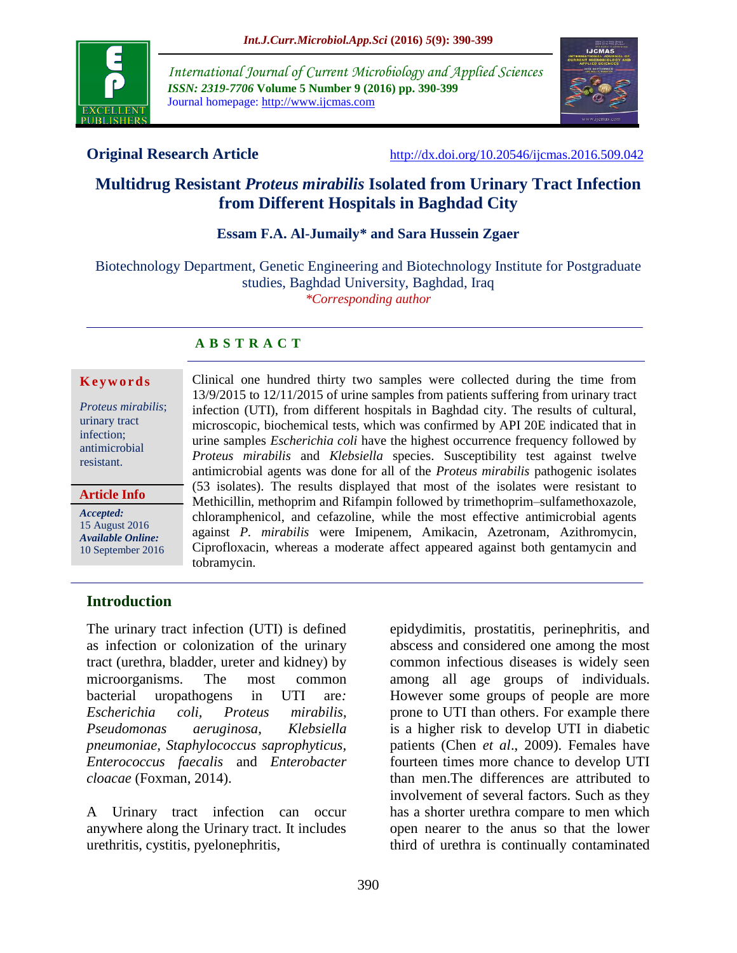

*International Journal of Current Microbiology and Applied Sciences ISSN: 2319-7706* **Volume 5 Number 9 (2016) pp. 390-399** Journal homepage: http://www.ijcmas.com



**Original Research Article** [http://dx.doi.org/10.20546/ijcmas.2016.509.042](http://dx.doi.org/10.20546/ijcmas.2016.509.041)

# **Multidrug Resistant** *Proteus mirabilis* **Isolated from Urinary Tract Infection from Different Hospitals in Baghdad City**

### **Essam F.A. Al-Jumaily\* and Sara Hussein Zgaer**

Biotechnology Department, Genetic Engineering and Biotechnology Institute for Postgraduate studies, Baghdad University, Baghdad, Iraq *\*Corresponding author*

### **A B S T R A C T**

#### **K e y w o r d s**

*Proteus mirabilis*; urinary tract infection; antimicrobial resistant.

#### **Article Info**

*Accepted:*  15 August 2016 *Available Online:* 10 September 2016 Clinical one hundred thirty two samples were collected during the time from 13/9/2015 to 12/11/2015 of urine samples from patients suffering from urinary tract infection (UTI), from different hospitals in Baghdad city. The results of cultural, microscopic, biochemical tests, which was confirmed by API 20E indicated that in urine samples *Escherichia coli* have the highest occurrence frequency followed by *Proteus mirabilis* and *Klebsiella* species. Susceptibility test against twelve antimicrobial agents was done for all of the *Proteus mirabilis* pathogenic isolates (53 isolates). The results displayed that most of the isolates were resistant to Methicillin, methoprim and Rifampin followed by trimethoprim–sulfamethoxazole, chloramphenicol, and cefazoline, while the most effective antimicrobial agents against *P. mirabilis* were Imipenem, Amikacin, Azetronam, Azithromycin, Ciprofloxacin, whereas a moderate affect appeared against both gentamycin and tobramycin.

### **Introduction**

The urinary tract infection (UTI) is defined as infection or colonization of the urinary tract (urethra, bladder, ureter and kidney) by microorganisms. The most common bacterial uropathogens in UTI are*: Escherichia coli, Proteus mirabilis*, *Pseudomonas aeruginosa*, *Klebsiella pneumoniae, Staphylococcus saprophyticus, Enterococcus faecalis* and *Enterobacter cloacae* (Foxman, 2014).

A Urinary tract infection can occur anywhere along the Urinary tract. It includes urethritis, cystitis, pyelonephritis,

epidydimitis, prostatitis, perinephritis, and abscess and considered one among the most common infectious diseases is widely seen among all age groups of individuals. However some groups of people are more prone to UTI than others. For example there is a higher risk to develop UTI in diabetic patients (Chen *et al*., 2009). Females have fourteen times more chance to develop UTI than men.The differences are attributed to involvement of several factors. Such as they has a shorter urethra compare to men which open nearer to the anus so that the lower third of urethra is continually contaminated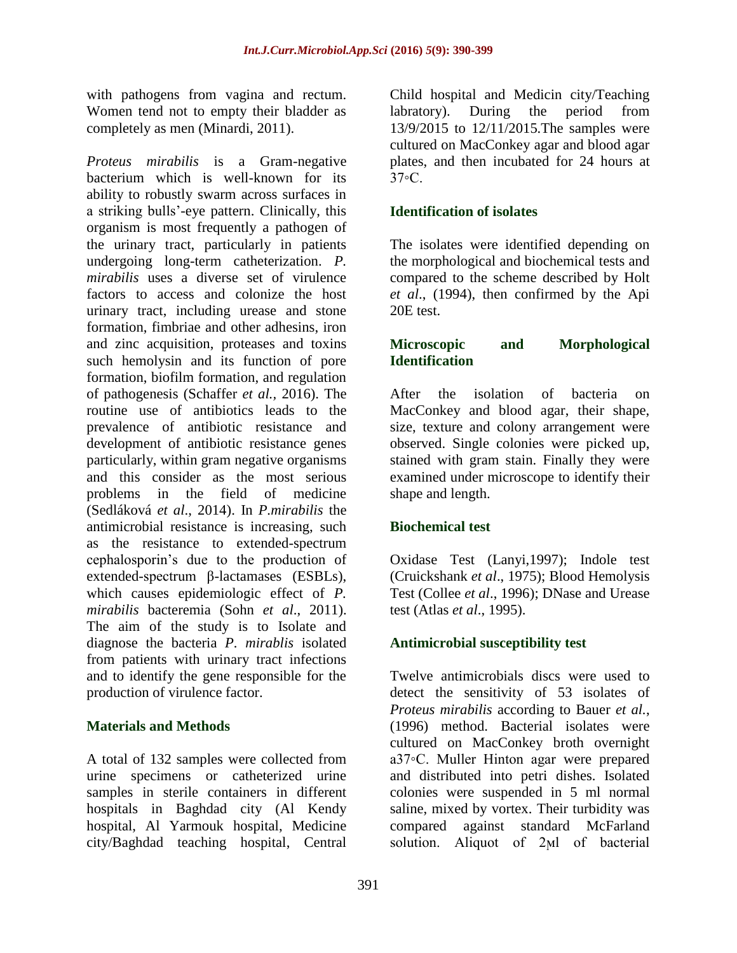with pathogens from vagina and rectum. Women tend not to empty their bladder as completely as men (Minardi, 2011).

*Proteus mirabilis* is a Gram-negative bacterium which is well-known for its ability to robustly swarm across surfaces in a striking bulls'-eye pattern. Clinically, this organism is most frequently a pathogen of the urinary tract, particularly in patients undergoing long-term catheterization. *P. mirabilis* uses a diverse set of virulence factors to access and colonize the host urinary tract, including urease and stone formation, fimbriae and other adhesins, iron and zinc acquisition, proteases and toxins such hemolysin and its function of pore formation, biofilm formation, and regulation of pathogenesis (Schaffer *et al.,* 2016). The routine use of antibiotics leads to the prevalence of antibiotic resistance and development of antibiotic resistance genes particularly, within gram negative organisms and this consider as the most serious problems in the field of medicine (Sedláková *et al*., 2014). In *P.mirabilis* the antimicrobial resistance is increasing, such as the resistance to extended-spectrum cephalosporin's due to the production of extended-spectrum β-lactamases (ESBLs), which causes epidemiologic effect of *P. mirabilis* bacteremia (Sohn *et al*., 2011). The aim of the study is to Isolate and diagnose the bacteria *P. mirablis* isolated from patients with urinary tract infections and to identify the gene responsible for the production of virulence factor.

# **Materials and Methods**

A total of 132 samples were collected from urine specimens or catheterized urine samples in sterile containers in different hospitals in Baghdad city (Al Kendy hospital, Al Yarmouk hospital, Medicine city/Baghdad teaching hospital, Central

Child hospital and Medicin city/Teaching labratory). During the period from 13/9/2015 to 12/11/2015.The samples were cultured on MacConkey agar and blood agar plates, and then incubated for 24 hours at 37◦C.

# **Identification of isolates**

The isolates were identified depending on the morphological and biochemical tests and compared to the scheme described by Holt *et al*., (1994), then confirmed by the Api 20E test.

# **Microscopic and Morphological Identification**

After the isolation of bacteria on MacConkey and blood agar, their shape, size, texture and colony arrangement were observed. Single colonies were picked up, stained with gram stain. Finally they were examined under microscope to identify their shape and length.

# **Biochemical test**

Oxidase Test (Lanyi,1997); Indole test (Cruickshank *et al*., 1975); Blood Hemolysis Test (Collee *et al*., 1996); DNase and Urease test (Atlas *et al*., 1995).

# **Antimicrobial susceptibility test**

Twelve antimicrobials discs were used to detect the sensitivity of 53 isolates of *Proteus mirabilis* according to Bauer *et al.*, (1996) method. Bacterial isolates were cultured on MacConkey broth overnight a37◦C. Muller Hinton agar were prepared and distributed into petri dishes. Isolated colonies were suspended in 5 ml normal saline, mixed by vortex. Their turbidity was compared against standard McFarland solution. Aliquot of 2ϻl of bacterial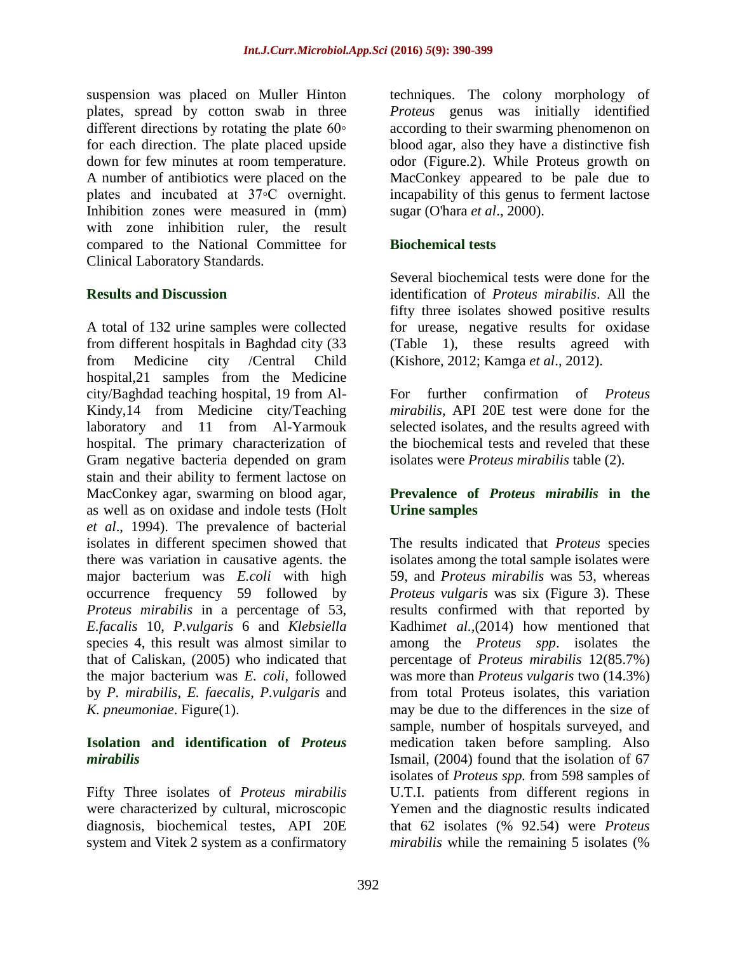suspension was placed on Muller Hinton plates, spread by cotton swab in three different directions by rotating the plate 60∘ for each direction. The plate placed upside down for few minutes at room temperature. A number of antibiotics were placed on the plates and incubated at 37◦C overnight. Inhibition zones were measured in (mm) with zone inhibition ruler, the result compared to the National Committee for Clinical Laboratory Standards.

### **Results and Discussion**

A total of 132 urine samples were collected from different hospitals in Baghdad city (33 from Medicine city /Central Child hospital,21 samples from the Medicine city/Baghdad teaching hospital, 19 from Al-Kindy,14 from Medicine city/Teaching laboratory and 11 from Al-Yarmouk hospital. The primary characterization of Gram negative bacteria depended on gram stain and their ability to ferment lactose on MacConkey agar, swarming on blood agar, as well as on oxidase and indole tests (Holt *et al*., 1994). The prevalence of bacterial isolates in different specimen showed that there was variation in causative agents. the major bacterium was *E.coli* with high occurrence frequency 59 followed by *Proteus mirabilis* in a percentage of 53, *E.facalis* 10, *P.vulgaris* 6 and *Klebsiella* species 4, this result was almost similar to that of Caliskan, (2005) who indicated that the major bacterium was *E. coli*, followed by *P. mirabilis*, *E. faecalis*, *P.vulgaris* and *K. pneumoniae*. Figure(1).

### **Isolation and identification of** *Proteus mirabilis*

Fifty Three isolates of *Proteus mirabilis* were characterized by cultural, microscopic diagnosis, biochemical testes, API 20E system and Vitek 2 system as a confirmatory

techniques. The colony morphology of *Proteus* genus was initially identified according to their swarming phenomenon on blood agar, also they have a distinctive fish odor (Figure.2). While Proteus growth on MacConkey appeared to be pale due to incapability of this genus to ferment lactose sugar (O'hara *et al*., 2000).

# **Biochemical tests**

Several biochemical tests were done for the identification of *Proteus mirabilis*. All the fifty three isolates showed positive results for urease, negative results for oxidase (Table 1), these results agreed with (Kishore, 2012; Kamga *et al*., 2012).

For further confirmation of *Proteus mirabilis*, API 20E test were done for the selected isolates, and the results agreed with the biochemical tests and reveled that these isolates were *Proteus mirabilis* table (2).

# **Prevalence of** *Proteus mirabilis* **in the Urine samples**

The results indicated that *Proteus* species isolates among the total sample isolates were 59, and *Proteus mirabilis* was 53, whereas *Proteus vulgaris* was six (Figure 3). These results confirmed with that reported by Kadhim*et al.,*(2014) how mentioned that among the *Proteus spp*. isolates the percentage of *Proteus mirabilis* 12(85.7%) was more than *Proteus vulgaris* two (14.3%) from total Proteus isolates, this variation may be due to the differences in the size of sample, number of hospitals surveyed, and medication taken before sampling. Also Ismail, (2004) found that the isolation of 67 isolates of *Proteus spp.* from 598 samples of U.T.I. patients from different regions in Yemen and the diagnostic results indicated that 62 isolates (% 92.54) were *Proteus mirabilis* while the remaining 5 isolates (%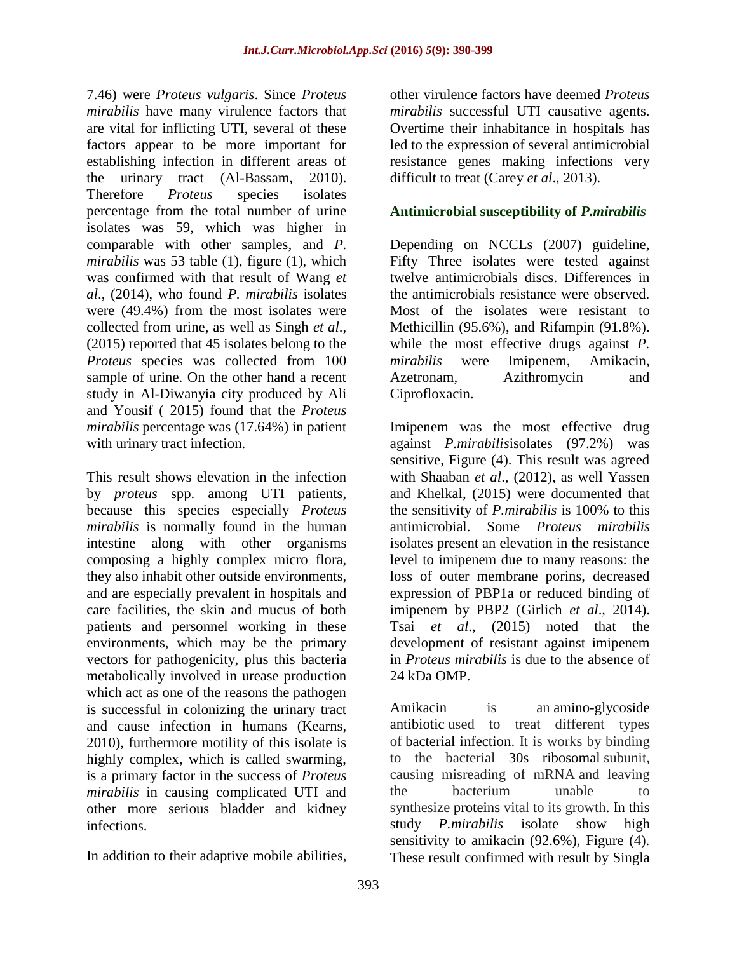7.46) were *Proteus vulgaris*. Since *Proteus mirabilis* have many virulence factors that are vital for inflicting UTI, several of these factors appear to be more important for establishing infection in different areas of the urinary tract (Al-Bassam, 2010). Therefore *Proteus* species isolates percentage from the total number of urine isolates was 59, which was higher in comparable with other samples, and *P. mirabilis* was 53 table (1), figure (1), which was confirmed with that result of Wang *et al*., (2014), who found *P. mirabilis* isolates were (49.4%) from the most isolates were collected from urine, as well as Singh *et al*., (2015) reported that 45 isolates belong to the *Proteus* species was collected from 100 sample of urine. On the other hand a recent study in Al-Diwanyia city produced by Ali and Yousif ( 2015) found that the *Proteus mirabilis* percentage was (17.64%) in patient with urinary tract infection.

This result shows elevation in the infection by *proteus* spp. among UTI patients, because this species especially *Proteus mirabilis* is normally found in the human intestine along with other organisms composing a highly complex micro flora, they also inhabit other outside environments, and are especially prevalent in hospitals and care facilities, the skin and mucus of both patients and personnel working in these environments, which may be the primary vectors for pathogenicity, plus this bacteria metabolically involved in urease production which act as one of the reasons the pathogen is successful in colonizing the urinary tract and cause infection in humans (Kearns, 2010), furthermore motility of this isolate is highly complex, which is called swarming, is a primary factor in the success of *Proteus mirabilis* in causing complicated UTI and other more serious bladder and kidney infections.

In addition to their adaptive mobile abilities,

other virulence factors have deemed *Proteus mirabilis* successful UTI causative agents. Overtime their inhabitance in hospitals has led to the expression of several antimicrobial resistance genes making infections very difficult to treat (Carey *et al*., 2013).

# **Antimicrobial susceptibility of** *P.mirabilis*

Depending on NCCLs (2007) guideline, Fifty Three isolates were tested against twelve antimicrobials discs. Differences in the antimicrobials resistance were observed. Most of the isolates were resistant to Methicillin (95.6%), and Rifampin (91.8%). while the most effective drugs against *P. mirabilis* were Imipenem, Amikacin, Azetronam, Azithromycin and Ciprofloxacin.

Imipenem was the most effective drug against *P.mirabilis*isolates (97.2%) was sensitive, Figure (4). This result was agreed with Shaaban *et al*., (2012), as well Yassen and Khelkal, (2015) were documented that the sensitivity of *P.mirabilis* is 100% to this antimicrobial. Some *Proteus mirabilis* isolates present an elevation in the resistance level to imipenem due to many reasons: the loss of outer membrane porins, decreased expression of PBP1a or reduced binding of imipenem by PBP2 (Girlich *et al*., 2014). Tsai *et al*., (2015) noted that the development of resistant against imipenem in *Proteus mirabilis* is due to the absence of 24 kDa OMP.

Amikacin is an amino-glycoside antibiotic used to treat different types of bacterial infection. It is works by binding to the bacterial 30s ribosomal subunit, causing misreading of mRNA and leaving the bacterium unable to synthesize proteins vital to its growth. In this study *P.mirabilis* isolate show high sensitivity to amikacin (92.6%), Figure (4). These result confirmed with result by Singla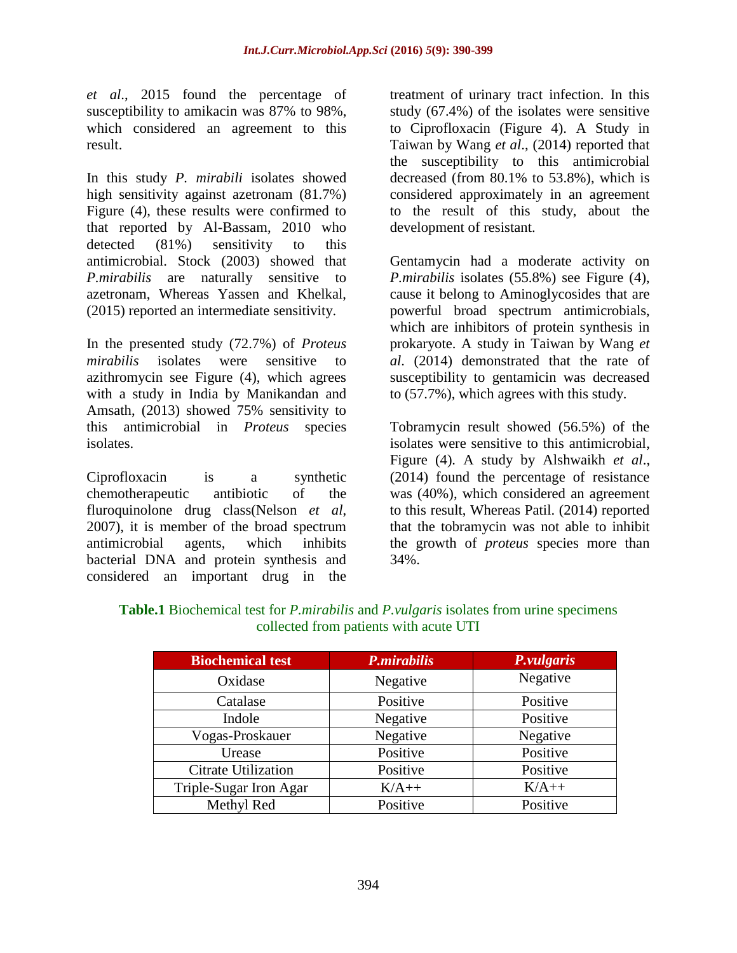*et al*., 2015 found the percentage of susceptibility to amikacin was 87% to 98%, which considered an agreement to this result.

In this study *P. mirabili* isolates showed high sensitivity against azetronam (81.7%) Figure (4), these results were confirmed to that reported by Al-Bassam, 2010 who detected (81%) sensitivity to this antimicrobial. Stock (2003) showed that *P.mirabilis* are naturally sensitive to azetronam, Whereas Yassen and Khelkal, (2015) reported an intermediate sensitivity.

In the presented study (72.7%) of *Proteus mirabilis* isolates were sensitive to azithromycin see Figure (4), which agrees with a study in India by Manikandan and Amsath, (2013) showed 75% sensitivity to this antimicrobial in *Proteus* species isolates.

Ciprofloxacin is a synthetic chemotherapeutic antibiotic of the fluroquinolone drug class(Nelson *et al*, 2007), it is member of the broad spectrum antimicrobial agents, which inhibits bacterial DNA and protein synthesis and considered an important drug in the

treatment of urinary tract infection. In this study (67.4%) of the isolates were sensitive to Ciprofloxacin (Figure 4). A Study in Taiwan by Wang *et al*., (2014) reported that the susceptibility to this antimicrobial decreased (from 80.1% to 53.8%), which is considered approximately in an agreement to the result of this study, about the development of resistant.

Gentamycin had a moderate activity on *P.mirabilis* isolates (55.8%) see Figure (4), cause it belong to Aminoglycosides that are powerful broad spectrum antimicrobials, which are inhibitors of protein synthesis in prokaryote. A study in Taiwan by Wang *et al*. (2014) demonstrated that the rate of susceptibility to gentamicin was decreased to (57.7%), which agrees with this study.

Tobramycin result showed (56.5%) of the isolates were sensitive to this antimicrobial, Figure (4). A study by Alshwaikh *et al*., (2014) found the percentage of resistance was (40%), which considered an agreement to this result, Whereas Patil. (2014) reported that the tobramycin was not able to inhibit the growth of *proteus* species more than 34%.

| <b>Biochemical test</b>    | <b>P.mirabilis</b> | P.vulgaris |
|----------------------------|--------------------|------------|
| Oxidase                    | Negative           | Negative   |
| Catalase                   | Positive           | Positive   |
| Indole                     | Negative           | Positive   |
| Vogas-Proskauer            | Negative           | Negative   |
| Urease                     | Positive           | Positive   |
| <b>Citrate Utilization</b> | Positive           | Positive   |
| Triple-Sugar Iron Agar     | $K/A++$            | $K/A++$    |
| Methyl Red                 | Positive           | Positive   |

**Table.1** Biochemical test for *P.mirabilis* and *P.vulgaris* isolates from urine specimens collected from patients with acute UTI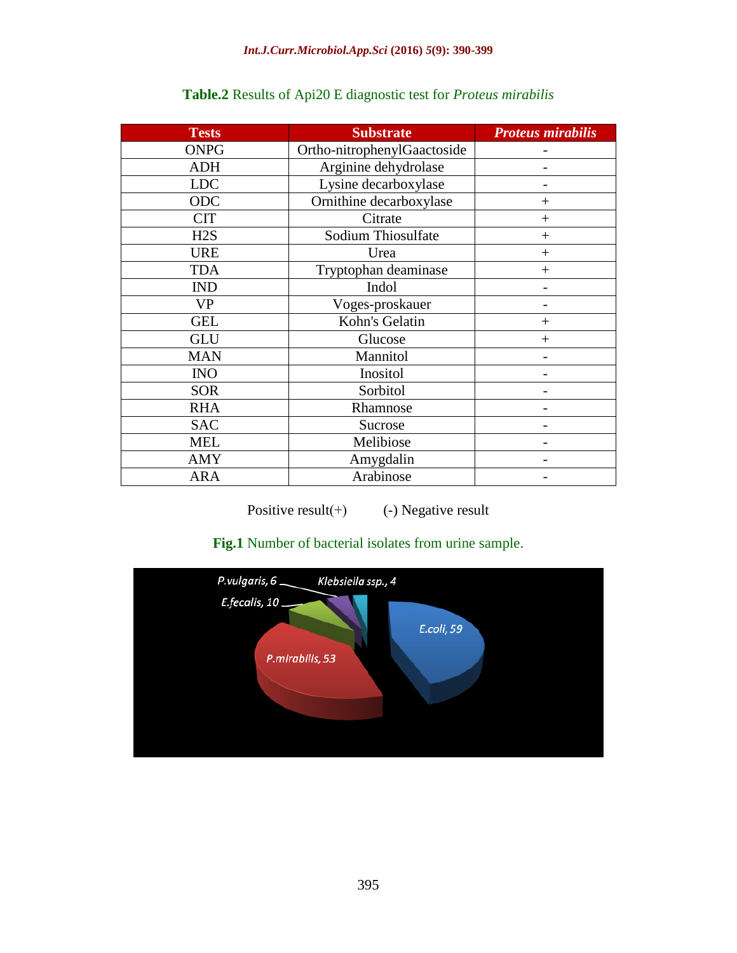| <b>Tests</b> | <b>Substrate</b>            | <b>Proteus mirabilis</b> |
|--------------|-----------------------------|--------------------------|
| <b>ONPG</b>  | Ortho-nitrophenylGaactoside |                          |
| <b>ADH</b>   | Arginine dehydrolase        |                          |
| <b>LDC</b>   | Lysine decarboxylase        |                          |
| ODC          | Ornithine decarboxylase     | $^+$                     |
| <b>CIT</b>   | Citrate                     | $^{+}$                   |
| H2S          | Sodium Thiosulfate          | $^{+}$                   |
| <b>URE</b>   | Urea                        | $+$                      |
| <b>TDA</b>   | Tryptophan deaminase        | $^{+}$                   |
| <b>IND</b>   | Indol                       |                          |
| <b>VP</b>    | Voges-proskauer             |                          |
| <b>GEL</b>   | Kohn's Gelatin              | $^{+}$                   |
| <b>GLU</b>   | Glucose                     | $^{+}$                   |
| <b>MAN</b>   | Mannitol                    |                          |
| <b>INO</b>   | Inositol                    |                          |
| <b>SOR</b>   | Sorbitol                    |                          |
| <b>RHA</b>   | Rhamnose                    |                          |
| <b>SAC</b>   | Sucrose                     |                          |
| <b>MEL</b>   | Melibiose                   |                          |
| <b>AMY</b>   | Amygdalin                   |                          |
| <b>ARA</b>   | Arabinose                   |                          |

# **Table.2** Results of Api20 E diagnostic test for *Proteus mirabilis*

Positive result $(+)$  (-) Negative result

# **Fig.1** Number of bacterial isolates from urine sample.

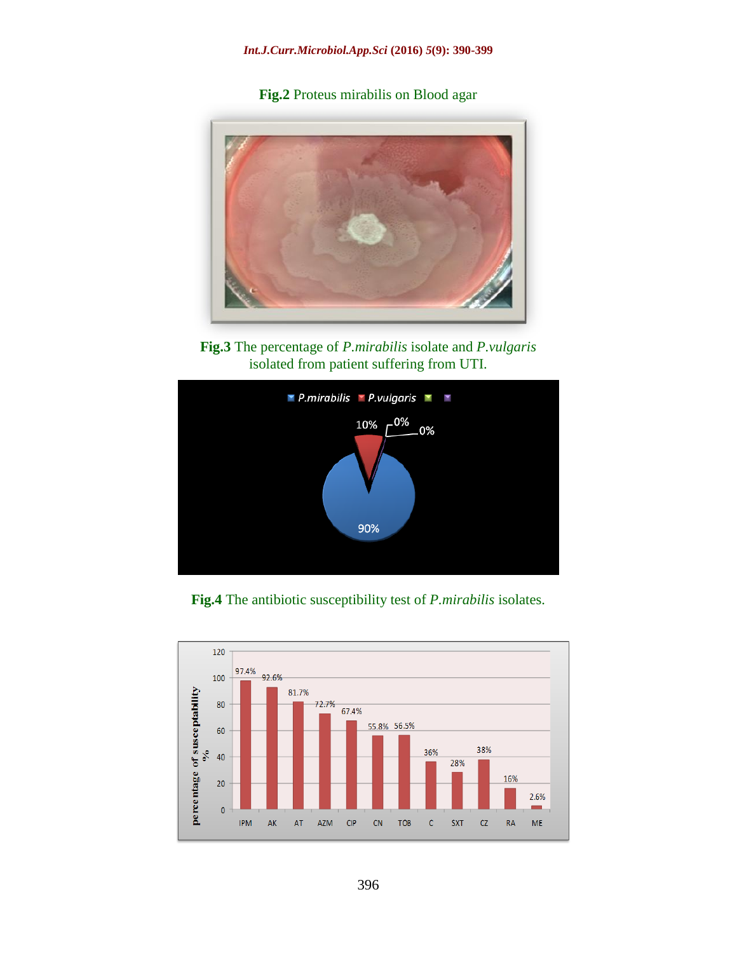**Fig.2** Proteus mirabilis on Blood agar



**Fig.3** The percentage of *P.mirabilis* isolate and *P.vulgaris* isolated from patient suffering from UTI.



**Fig.4** The antibiotic susceptibility test of *P.mirabilis* isolates.

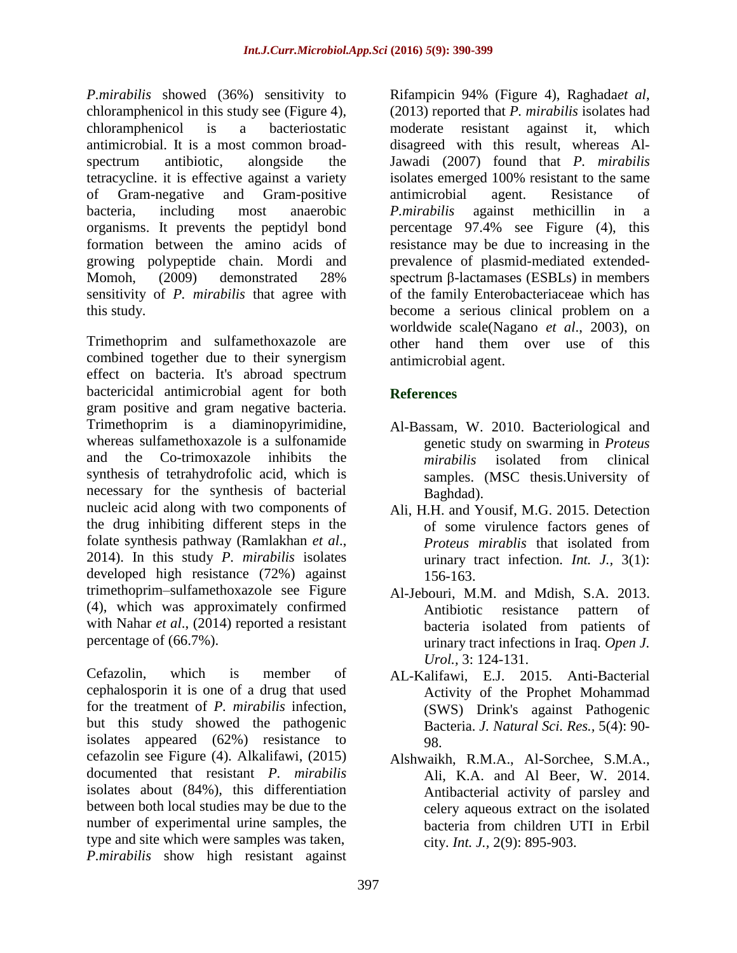*P.mirabilis* showed (36%) sensitivity to chloramphenicol in this study see (Figure 4), chloramphenicol is a bacteriostatic antimicrobial. It is a most common broadspectrum antibiotic, alongside the tetracycline. it is effective against a variety of Gram-negative and Gram-positive bacteria, including most anaerobic organisms. It prevents the peptidyl bond formation between the amino acids of growing polypeptide chain. Mordi and Momoh, (2009) demonstrated 28% sensitivity of *P. mirabilis* that agree with this study.

Trimethoprim and sulfamethoxazole are combined together due to their synergism effect on bacteria. It's abroad spectrum bactericidal antimicrobial agent for both gram positive and gram negative bacteria. Trimethoprim is a diaminopyrimidine, whereas sulfamethoxazole is a sulfonamide and the Co-trimoxazole inhibits the synthesis of tetrahydrofolic acid, which is necessary for the synthesis of bacterial nucleic acid along with two components of the drug inhibiting different steps in the folate synthesis pathway (Ramlakhan *et al*., 2014). In this study *P. mirabilis* isolates developed high resistance (72%) against trimethoprim–sulfamethoxazole see Figure (4), which was approximately confirmed with Nahar *et al.*, (2014) reported a resistant percentage of (66.7%).

Cefazolin, which is member of cephalosporin it is one of a drug that used for the treatment of *P. mirabilis* infection, but this study showed the pathogenic isolates appeared (62%) resistance to cefazolin see Figure (4). Alkalifawi, (2015) documented that resistant *P. mirabilis* isolates about (84%), this differentiation between both local studies may be due to the number of experimental urine samples, the type and site which were samples was taken, *P.mirabilis* show high resistant against

Rifampicin 94% (Figure 4), Raghada*et al*, (2013) reported that *P. mirabilis* isolates had moderate resistant against it, which disagreed with this result, whereas Al-Jawadi (2007) found that *P. mirabilis* isolates emerged 100% resistant to the same antimicrobial agent. Resistance of *P.mirabilis* against methicillin in a percentage 97.4% see Figure (4), this resistance may be due to increasing in the prevalence of plasmid-mediated extendedspectrum β-lactamases (ESBLs) in members of the family Enterobacteriaceae which has become a serious clinical problem on a worldwide scale(Nagano *et al*., 2003), on other hand them over use of this antimicrobial agent.

# **References**

- Al-Bassam, W. 2010. Bacteriological and genetic study on swarming in *Proteus mirabilis* isolated from clinical samples. (MSC thesis.University of Baghdad).
- Ali, H.H. and Yousif, M.G. 2015. Detection of some virulence factors genes of *Proteus mirablis* that isolated from urinary tract infection. *Int. J.,* 3(1): 156-163.
- Al-Jebouri, M.M. and Mdish, S.A. 2013. Antibiotic resistance pattern of bacteria isolated from patients of urinary tract infections in Iraq. *Open J. Urol.,* 3: 124-131.
- AL-Kalifawi, E.J. 2015. Anti-Bacterial Activity of the Prophet Mohammad (SWS) Drink's against Pathogenic Bacteria. *J. Natural Sci. Res.,* 5(4): 90- 98.
- Alshwaikh, R.M.A., Al-Sorchee, S.M.A., Ali, K.A. and Al Beer, W. 2014. Antibacterial activity of parsley and celery aqueous extract on the isolated bacteria from children UTI in Erbil city. *Int. J.,* 2(9): 895-903.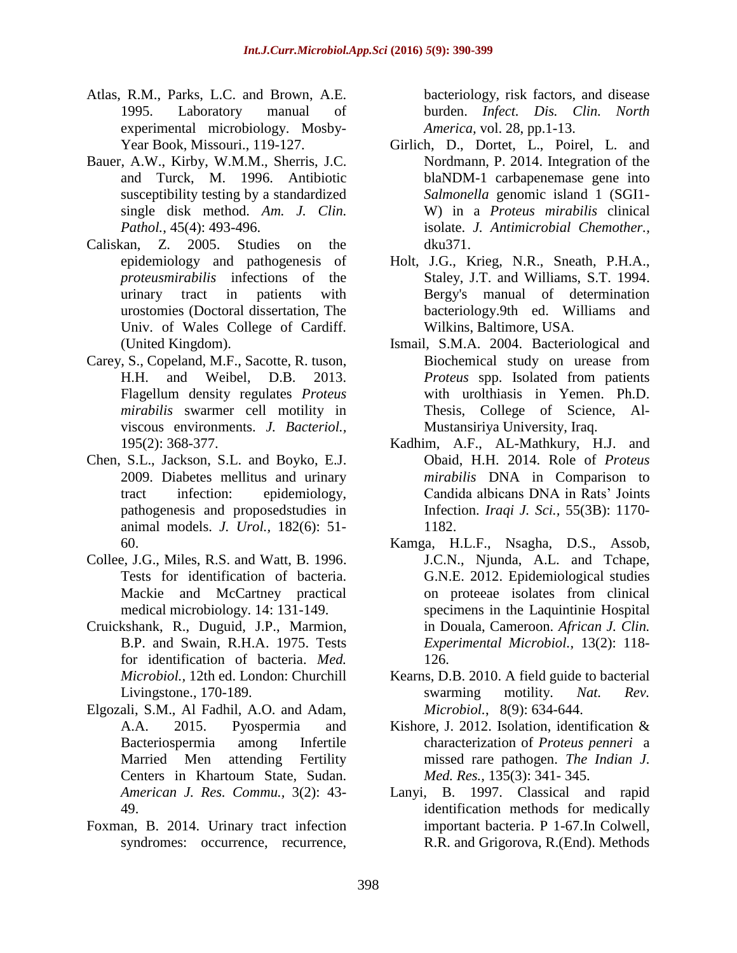- Atlas, R.M., Parks, L.C. and Brown, A.E. 1995. Laboratory manual of experimental microbiology. Mosby-Year Book, Missouri., 119-127.
- Bauer, A.W., Kirby, W.M.M., Sherris, J.C. and Turck, M. 1996. Antibiotic susceptibility testing by a standardized single disk method. *Am. J. Clin. Pathol.*, 45(4): 493-496.
- Caliskan, Z. 2005. Studies on the epidemiology and pathogenesis of *proteusmirabilis* infections of the urinary tract in patients with urostomies (Doctoral dissertation, The Univ. of Wales College of Cardiff. (United Kingdom).
- Carey, S., Copeland, M.F., Sacotte, R. tuson, H.H. and Weibel, D.B. 2013. Flagellum density regulates *Proteus mirabilis* swarmer cell motility in viscous environments. *J. Bacteriol.,*  195(2): 368-377.
- Chen, S.L., Jackson, S.L. and Boyko, E.J. 2009. Diabetes mellitus and urinary tract infection: epidemiology, pathogenesis and proposedstudies in animal models. *J. Urol.,* 182(6): 51- 60.
- Collee, J.G., Miles, R.S. and Watt, B. 1996. Tests for identification of bacteria. Mackie and McCartney practical medical microbiology. 14: 131-149.
- Cruickshank, R., Duguid, J.P., Marmion, B.P. and Swain, R.H.A. 1975. Tests for identification of bacteria. *Med. Microbiol.,* 12th ed. London: Churchill Livingstone., 170-189.
- Elgozali, S.M., Al Fadhil, A.O. and Adam, A.A. 2015. Pyospermia and Bacteriospermia among Infertile Married Men attending Fertility Centers in Khartoum State, Sudan. *American J. Res. Commu.,* 3(2): 43- 49.
- Foxman, B. 2014. Urinary tract infection syndromes: occurrence, recurrence,

bacteriology, risk factors, and disease burden. *Infect. Dis. Clin. North America,* vol. 28, pp.1-13.

- Girlich, D., Dortet, L., Poirel, L. and Nordmann, P. 2014. Integration of the blaNDM-1 carbapenemase gene into *Salmonella* genomic island 1 (SGI1- W) in a *Proteus mirabilis* clinical isolate. *J. Antimicrobial Chemother.,* dku371.
- Holt, J.G., Krieg, N.R., Sneath, P.H.A., Staley, J.T. and Williams, S.T. 1994. Bergy's manual of determination bacteriology.9th ed. Williams and Wilkins, Baltimore, USA.
- Ismail, S.M.A. 2004. Bacteriological and Biochemical study on urease from *Proteus* spp. Isolated from patients with urolthiasis in Yemen. Ph.D. Thesis, College of Science, Al-Mustansiriya University, Iraq.
- Kadhim, A.F., AL-Mathkury, H.J. and Obaid, H.H. 2014. Role of *Proteus mirabilis* DNA in Comparison to Candida albicans DNA in Rats' Joints Infection. *Iraqi J. Sci.,* 55(3B): 1170- 1182.
- Kamga, H.L.F., Nsagha, D.S., Assob, J.C.N., Njunda, A.L. and Tchape, G.N.E. 2012. Epidemiological studies on proteeae isolates from clinical specimens in the Laquintinie Hospital in Douala, Cameroon. *African J. Clin. Experimental Microbiol.,* 13(2): 118- 126.
- Kearns, D.B. 2010. A field guide to bacterial swarming motility. *Nat. Rev. Microbiol.*, 8(9): 634-644.
- Kishore, J. 2012. Isolation, identification & characterization of *Proteus penneri* a missed rare pathogen. *The Indian J. Med. Res.,* 135(3): 341- 345.
- Lanyi, B. 1997. Classical and rapid identification methods for medically important bacteria. P 1-67.In Colwell, R.R. and Grigorova, R.(End). Methods